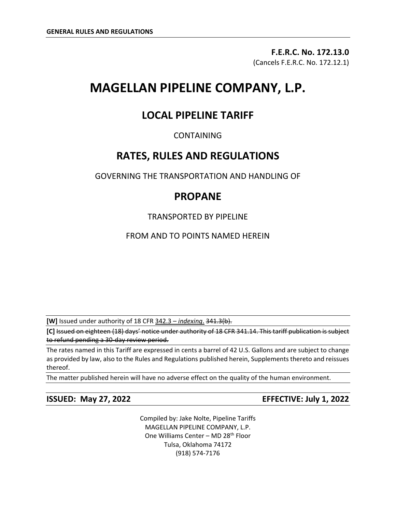**F.E.R.C. No. 172.13.0** (Cancels F.E.R.C. No. 172.12.1)

# **MAGELLAN PIPELINE COMPANY, L.P.**

# **LOCAL PIPELINE TARIFF**

# CONTAINING

# **RATES, RULES AND REGULATIONS**

GOVERNING THE TRANSPORTATION AND HANDLING OF

# **PROPANE**

TRANSPORTED BY PIPELINE

FROM AND TO POINTS NAMED HEREIN

**[W]** Issued under authority of 18 CFR 342.3 – *indexing*. 341.3(b).

**[C]** Issued on eighteen (18) days' notice under authority of 18 CFR 341.14. This tariff publication is subject to refund pending a 30-day review period.

The rates named in this Tariff are expressed in cents a barrel of 42 U.S. Gallons and are subject to change as provided by law, also to the Rules and Regulations published herein, Supplements thereto and reissues thereof.

The matter published herein will have no adverse effect on the quality of the human environment.

**ISSUED: May 27, 2022 EFFECTIVE: July 1, 2022**

Compiled by: Jake Nolte, Pipeline Tariffs MAGELLAN PIPELINE COMPANY, L.P. One Williams Center - MD 28<sup>th</sup> Floor Tulsa, Oklahoma 74172 (918) 574-7176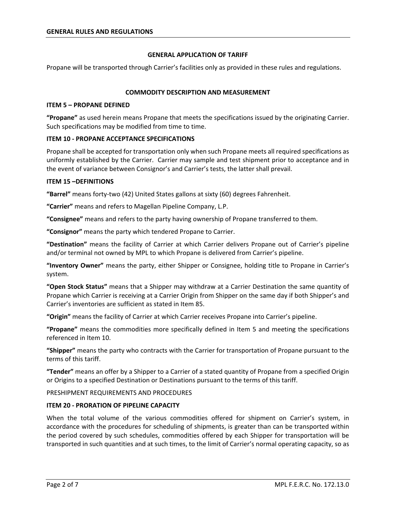#### **GENERAL APPLICATION OF TARIFF**

Propane will be transported through Carrier's facilities only as provided in these rules and regulations.

#### **COMMODITY DESCRIPTION AND MEASUREMENT**

#### **ITEM 5 – PROPANE DEFINED**

**"Propane"** as used herein means Propane that meets the specifications issued by the originating Carrier. Such specifications may be modified from time to time.

#### **ITEM 10 - PROPANE ACCEPTANCE SPECIFICATIONS**

Propane shall be accepted for transportation only when such Propane meets all required specifications as uniformly established by the Carrier. Carrier may sample and test shipment prior to acceptance and in the event of variance between Consignor's and Carrier's tests, the latter shall prevail.

#### **ITEM 15 –DEFINITIONS**

**"Barrel"** means forty-two (42) United States gallons at sixty (60) degrees Fahrenheit.

**"Carrier"** means and refers to Magellan Pipeline Company, L.P.

**"Consignee"** means and refers to the party having ownership of Propane transferred to them.

**"Consignor"** means the party which tendered Propane to Carrier.

**"Destination"** means the facility of Carrier at which Carrier delivers Propane out of Carrier's pipeline and/or terminal not owned by MPL to which Propane is delivered from Carrier's pipeline.

**"Inventory Owner"** means the party, either Shipper or Consignee, holding title to Propane in Carrier's system.

**"Open Stock Status"** means that a Shipper may withdraw at a Carrier Destination the same quantity of Propane which Carrier is receiving at a Carrier Origin from Shipper on the same day if both Shipper's and Carrier's inventories are sufficient as stated in Item 85.

**"Origin"** means the facility of Carrier at which Carrier receives Propane into Carrier's pipeline.

**"Propane"** means the commodities more specifically defined in Item 5 and meeting the specifications referenced in Item 10.

**"Shipper"** means the party who contracts with the Carrier for transportation of Propane pursuant to the terms of this tariff.

**"Tender"** means an offer by a Shipper to a Carrier of a stated quantity of Propane from a specified Origin or Origins to a specified Destination or Destinations pursuant to the terms of this tariff.

#### PRESHIPMENT REQUIREMENTS AND PROCEDURES

# **ITEM 20 - PRORATION OF PIPELINE CAPACITY**

When the total volume of the various commodities offered for shipment on Carrier's system, in accordance with the procedures for scheduling of shipments, is greater than can be transported within the period covered by such schedules, commodities offered by each Shipper for transportation will be transported in such quantities and at such times, to the limit of Carrier's normal operating capacity, so as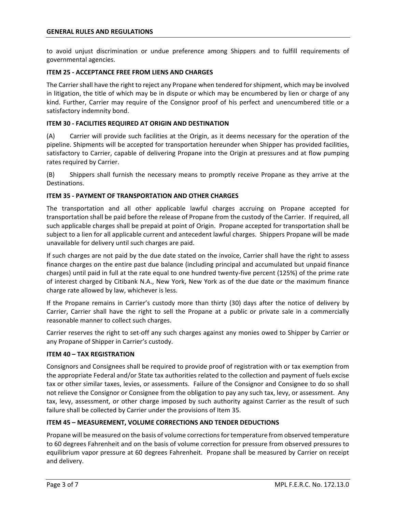to avoid unjust discrimination or undue preference among Shippers and to fulfill requirements of governmental agencies.

# **ITEM 25 - ACCEPTANCE FREE FROM LIENS AND CHARGES**

The Carrier shall have the right to reject any Propane when tendered for shipment, which may be involved in litigation, the title of which may be in dispute or which may be encumbered by lien or charge of any kind. Further, Carrier may require of the Consignor proof of his perfect and unencumbered title or a satisfactory indemnity bond.

# **ITEM 30 - FACILITIES REQUIRED AT ORIGIN AND DESTINATION**

(A) Carrier will provide such facilities at the Origin, as it deems necessary for the operation of the pipeline. Shipments will be accepted for transportation hereunder when Shipper has provided facilities, satisfactory to Carrier, capable of delivering Propane into the Origin at pressures and at flow pumping rates required by Carrier.

(B) Shippers shall furnish the necessary means to promptly receive Propane as they arrive at the Destinations.

# **ITEM 35 - PAYMENT OF TRANSPORTATION AND OTHER CHARGES**

The transportation and all other applicable lawful charges accruing on Propane accepted for transportation shall be paid before the release of Propane from the custody of the Carrier. If required, all such applicable charges shall be prepaid at point of Origin. Propane accepted for transportation shall be subject to a lien for all applicable current and antecedent lawful charges. Shippers Propane will be made unavailable for delivery until such charges are paid.

If such charges are not paid by the due date stated on the invoice, Carrier shall have the right to assess finance charges on the entire past due balance (including principal and accumulated but unpaid finance charges) until paid in full at the rate equal to one hundred twenty-five percent (125%) of the prime rate of interest charged by Citibank N.A., New York, New York as of the due date or the maximum finance charge rate allowed by law, whichever is less.

If the Propane remains in Carrier's custody more than thirty (30) days after the notice of delivery by Carrier, Carrier shall have the right to sell the Propane at a public or private sale in a commercially reasonable manner to collect such charges.

Carrier reserves the right to set-off any such charges against any monies owed to Shipper by Carrier or any Propane of Shipper in Carrier's custody.

# **ITEM 40 – TAX REGISTRATION**

Consignors and Consignees shall be required to provide proof of registration with or tax exemption from the appropriate Federal and/or State tax authorities related to the collection and payment of fuels excise tax or other similar taxes, levies, or assessments. Failure of the Consignor and Consignee to do so shall not relieve the Consignor or Consignee from the obligation to pay any such tax, levy, or assessment. Any tax, levy, assessment, or other charge imposed by such authority against Carrier as the result of such failure shall be collected by Carrier under the provisions of Item 35.

# **ITEM 45 – MEASUREMENT, VOLUME CORRECTIONS AND TENDER DEDUCTIONS**

Propane will be measured on the basis of volume corrections for temperature from observed temperature to 60 degrees Fahrenheit and on the basis of volume correction for pressure from observed pressures to equilibrium vapor pressure at 60 degrees Fahrenheit. Propane shall be measured by Carrier on receipt and delivery.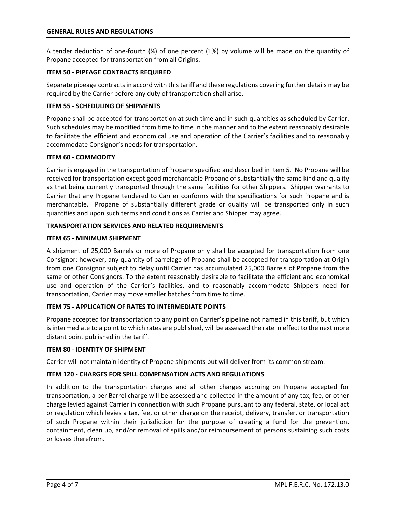A tender deduction of one-fourth (¼) of one percent (1%) by volume will be made on the quantity of Propane accepted for transportation from all Origins.

# **ITEM 50 - PIPEAGE CONTRACTS REQUIRED**

Separate pipeage contracts in accord with this tariff and these regulations covering further details may be required by the Carrier before any duty of transportation shall arise.

# **ITEM 55 - SCHEDULING OF SHIPMENTS**

Propane shall be accepted for transportation at such time and in such quantities as scheduled by Carrier. Such schedules may be modified from time to time in the manner and to the extent reasonably desirable to facilitate the efficient and economical use and operation of the Carrier's facilities and to reasonably accommodate Consignor's needs for transportation.

#### **ITEM 60 - COMMODITY**

Carrier is engaged in the transportation of Propane specified and described in Item 5. No Propane will be received for transportation except good merchantable Propane of substantially the same kind and quality as that being currently transported through the same facilities for other Shippers. Shipper warrants to Carrier that any Propane tendered to Carrier conforms with the specifications for such Propane and is merchantable. Propane of substantially different grade or quality will be transported only in such quantities and upon such terms and conditions as Carrier and Shipper may agree.

# **TRANSPORTATION SERVICES AND RELATED REQUIREMENTS**

# **ITEM 65 - MINIMUM SHIPMENT**

A shipment of 25,000 Barrels or more of Propane only shall be accepted for transportation from one Consignor; however, any quantity of barrelage of Propane shall be accepted for transportation at Origin from one Consignor subject to delay until Carrier has accumulated 25,000 Barrels of Propane from the same or other Consignors. To the extent reasonably desirable to facilitate the efficient and economical use and operation of the Carrier's facilities, and to reasonably accommodate Shippers need for transportation, Carrier may move smaller batches from time to time.

# **ITEM 75 - APPLICATION OF RATES TO INTERMEDIATE POINTS**

Propane accepted for transportation to any point on Carrier's pipeline not named in this tariff, but which is intermediate to a point to which rates are published, will be assessed the rate in effect to the next more distant point published in the tariff.

#### **ITEM 80 - IDENTITY OF SHIPMENT**

Carrier will not maintain identity of Propane shipments but will deliver from its common stream.

# **ITEM 120 - CHARGES FOR SPILL COMPENSATION ACTS AND REGULATIONS**

In addition to the transportation charges and all other charges accruing on Propane accepted for transportation, a per Barrel charge will be assessed and collected in the amount of any tax, fee, or other charge levied against Carrier in connection with such Propane pursuant to any federal, state, or local act or regulation which levies a tax, fee, or other charge on the receipt, delivery, transfer, or transportation of such Propane within their jurisdiction for the purpose of creating a fund for the prevention, containment, clean up, and/or removal of spills and/or reimbursement of persons sustaining such costs or losses therefrom.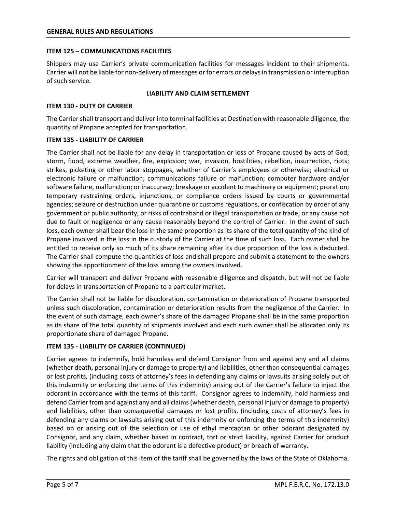#### **ITEM 125 – COMMUNICATIONS FACILITIES**

Shippers may use Carrier's private communication facilities for messages incident to their shipments. Carrier will not be liable for non-delivery of messages or for errors or delays in transmission or interruption of such service.

#### **LIABILITY AND CLAIM SETTLEMENT**

#### **ITEM 130 - DUTY OF CARRIER**

The Carrier shall transport and deliver into terminal facilities at Destination with reasonable diligence, the quantity of Propane accepted for transportation.

#### **ITEM 135 - LIABILITY OF CARRIER**

The Carrier shall not be liable for any delay in transportation or loss of Propane caused by acts of God; storm, flood, extreme weather, fire, explosion; war, invasion, hostilities, rebellion, insurrection, riots; strikes, picketing or other labor stoppages, whether of Carrier's employees or otherwise; electrical or electronic failure or malfunction; communications failure or malfunction; computer hardware and/or software failure, malfunction; or inaccuracy; breakage or accident to machinery or equipment; proration; temporary restraining orders, injunctions, or compliance orders issued by courts or governmental agencies; seizure or destruction under quarantine or customs regulations, or confiscation by order of any government or public authority, or risks of contraband or illegal transportation or trade; or any cause not due to fault or negligence or any cause reasonably beyond the control of Carrier. In the event of such loss, each owner shall bear the loss in the same proportion as its share of the total quantity of the kind of Propane involved in the loss in the custody of the Carrier at the time of such loss. Each owner shall be entitled to receive only so much of its share remaining after its due proportion of the loss is deducted. The Carrier shall compute the quantities of loss and shall prepare and submit a statement to the owners showing the apportionment of the loss among the owners involved.

Carrier will transport and deliver Propane with reasonable diligence and dispatch, but will not be liable for delays in transportation of Propane to a particular market.

The Carrier shall not be liable for discoloration, contamination or deterioration of Propane transported unless such discoloration, contamination or deterioration results from the negligence of the Carrier. In the event of such damage, each owner's share of the damaged Propane shall be in the same proportion as its share of the total quantity of shipments involved and each such owner shall be allocated only its proportionate share of damaged Propane.

# **ITEM 135 - LIABILITY OF CARRIER (CONTINUED)**

Carrier agrees to indemnify, hold harmless and defend Consignor from and against any and all claims (whether death, personal injury or damage to property) and liabilities, other than consequential damages or lost profits, (including costs of attorney's fees in defending any claims or lawsuits arising solely out of this indemnity or enforcing the terms of this indemnity) arising out of the Carrier's failure to inject the odorant in accordance with the terms of this tariff. Consignor agrees to indemnify, hold harmless and defend Carrier from and against any and all claims (whether death, personal injury or damage to property) and liabilities, other than consequential damages or lost profits, (including costs of attorney's fees in defending any claims or lawsuits arising out of this indemnity or enforcing the terms of this indemnity) based on or arising out of the selection or use of ethyl mercaptan or other odorant designated by Consignor, and any claim, whether based in contract, tort or strict liability, against Carrier for product liability (including any claim that the odorant is a defective product) or breach of warranty.

The rights and obligation of this item of the tariff shall be governed by the laws of the State of Oklahoma.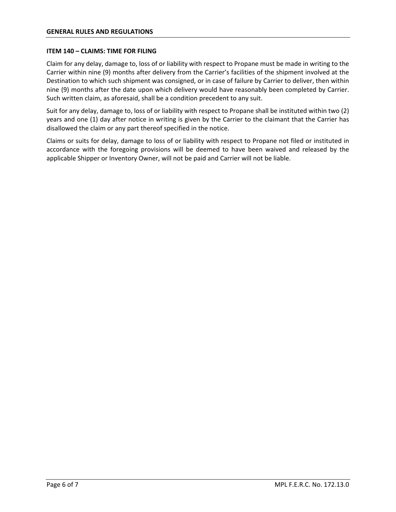#### **ITEM 140 – CLAIMS: TIME FOR FILING**

Claim for any delay, damage to, loss of or liability with respect to Propane must be made in writing to the Carrier within nine (9) months after delivery from the Carrier's facilities of the shipment involved at the Destination to which such shipment was consigned, or in case of failure by Carrier to deliver, then within nine (9) months after the date upon which delivery would have reasonably been completed by Carrier. Such written claim, as aforesaid, shall be a condition precedent to any suit.

Suit for any delay, damage to, loss of or liability with respect to Propane shall be instituted within two (2) years and one (1) day after notice in writing is given by the Carrier to the claimant that the Carrier has disallowed the claim or any part thereof specified in the notice.

Claims or suits for delay, damage to loss of or liability with respect to Propane not filed or instituted in accordance with the foregoing provisions will be deemed to have been waived and released by the applicable Shipper or Inventory Owner, will not be paid and Carrier will not be liable.